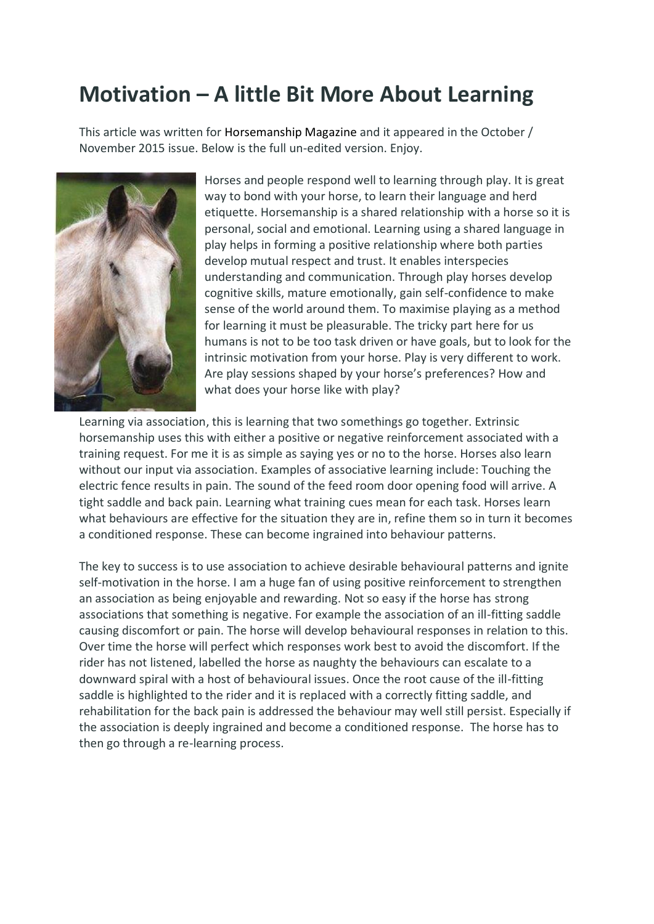## **Motivation – A little Bit More About Learning**

This article was written for Horsemanship Magazine and it appeared in the October / November 2015 issue. Below is the full un-edited version. Enjoy.



Horses and people respond well to learning through play. It is great way to bond with your horse, to learn their language and herd etiquette. Horsemanship is a shared relationship with a horse so it is personal, social and emotional. Learning using a shared language in play helps in forming a positive relationship where both parties develop mutual respect and trust. It enables interspecies understanding and communication. Through play horses develop cognitive skills, mature emotionally, gain self-confidence to make sense of the world around them. To maximise playing as a method for learning it must be pleasurable. The tricky part here for us humans is not to be too task driven or have goals, but to look for the intrinsic motivation from your horse. Play is very different to work. Are play sessions shaped by your horse's preferences? How and what does your horse like with play?

Learning via association, this is learning that two somethings go together. Extrinsic horsemanship uses this with either a positive or negative reinforcement associated with a training request. For me it is as simple as saying yes or no to the horse. Horses also learn without our input via association. Examples of associative learning include: Touching the electric fence results in pain. The sound of the feed room door opening food will arrive. A tight saddle and back pain. Learning what training cues mean for each task. Horses learn what behaviours are effective for the situation they are in, refine them so in turn it becomes a conditioned response. These can become ingrained into behaviour patterns.

The key to success is to use association to achieve desirable behavioural patterns and ignite self-motivation in the horse. I am a huge fan of using positive reinforcement to strengthen an association as being enjoyable and rewarding. Not so easy if the horse has strong associations that something is negative. For example the association of an ill-fitting saddle causing discomfort or pain. The horse will develop behavioural responses in relation to this. Over time the horse will perfect which responses work best to avoid the discomfort. If the rider has not listened, labelled the horse as naughty the behaviours can escalate to a downward spiral with a host of behavioural issues. Once the root cause of the ill-fitting saddle is highlighted to the rider and it is replaced with a correctly fitting saddle, and rehabilitation for the back pain is addressed the behaviour may well still persist. Especially if the association is deeply ingrained and become a conditioned response. The horse has to then go through a re-learning process.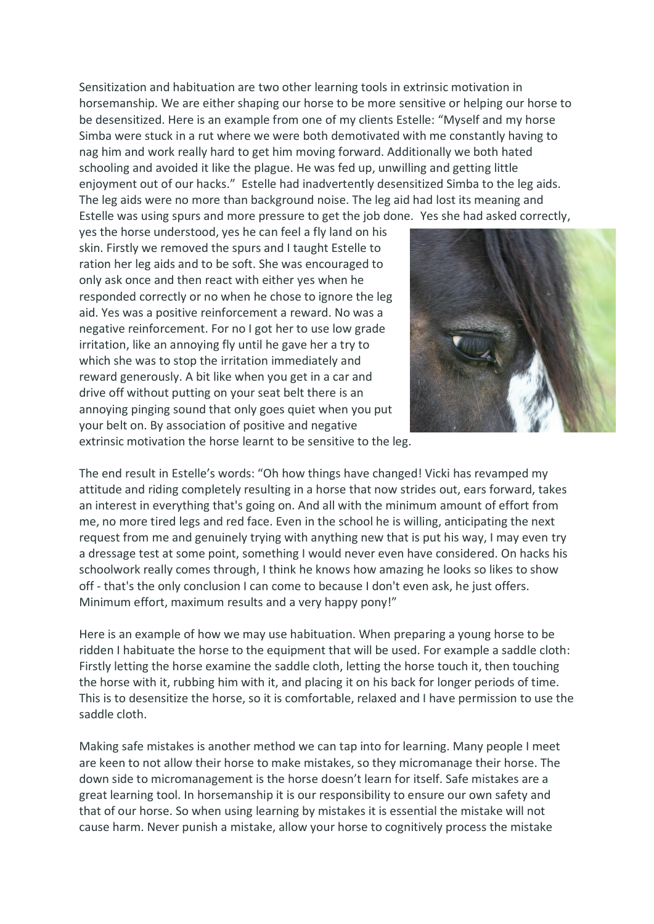Sensitization and habituation are two other learning tools in extrinsic motivation in horsemanship. We are either shaping our horse to be more sensitive or helping our horse to be desensitized. Here is an example from one of my clients Estelle: "Myself and my horse Simba were stuck in a rut where we were both demotivated with me constantly having to nag him and work really hard to get him moving forward. Additionally we both hated schooling and avoided it like the plague. He was fed up, unwilling and getting little enjoyment out of our hacks." Estelle had inadvertently desensitized Simba to the leg aids. The leg aids were no more than background noise. The leg aid had lost its meaning and Estelle was using spurs and more pressure to get the job done. Yes she had asked correctly,

yes the horse understood, yes he can feel a fly land on his skin. Firstly we removed the spurs and I taught Estelle to ration her leg aids and to be soft. She was encouraged to only ask once and then react with either yes when he responded correctly or no when he chose to ignore the leg aid. Yes was a positive reinforcement a reward. No was a negative reinforcement. For no I got her to use low grade irritation, like an annoying fly until he gave her a try to which she was to stop the irritation immediately and reward generously. A bit like when you get in a car and drive off without putting on your seat belt there is an annoying pinging sound that only goes quiet when you put your belt on. By association of positive and negative



extrinsic motivation the horse learnt to be sensitive to the leg.

The end result in Estelle's words: "Oh how things have changed! Vicki has revamped my attitude and riding completely resulting in a horse that now strides out, ears forward, takes an interest in everything that's going on. And all with the minimum amount of effort from me, no more tired legs and red face. Even in the school he is willing, anticipating the next request from me and genuinely trying with anything new that is put his way, I may even try a dressage test at some point, something I would never even have considered. On hacks his schoolwork really comes through, I think he knows how amazing he looks so likes to show off - that's the only conclusion I can come to because I don't even ask, he just offers. Minimum effort, maximum results and a very happy pony!"

Here is an example of how we may use habituation. When preparing a young horse to be ridden I habituate the horse to the equipment that will be used. For example a saddle cloth: Firstly letting the horse examine the saddle cloth, letting the horse touch it, then touching the horse with it, rubbing him with it, and placing it on his back for longer periods of time. This is to desensitize the horse, so it is comfortable, relaxed and I have permission to use the saddle cloth.

Making safe mistakes is another method we can tap into for learning. Many people I meet are keen to not allow their horse to make mistakes, so they micromanage their horse. The down side to micromanagement is the horse doesn't learn for itself. Safe mistakes are a great learning tool. In horsemanship it is our responsibility to ensure our own safety and that of our horse. So when using learning by mistakes it is essential the mistake will not cause harm. Never punish a mistake, allow your horse to cognitively process the mistake